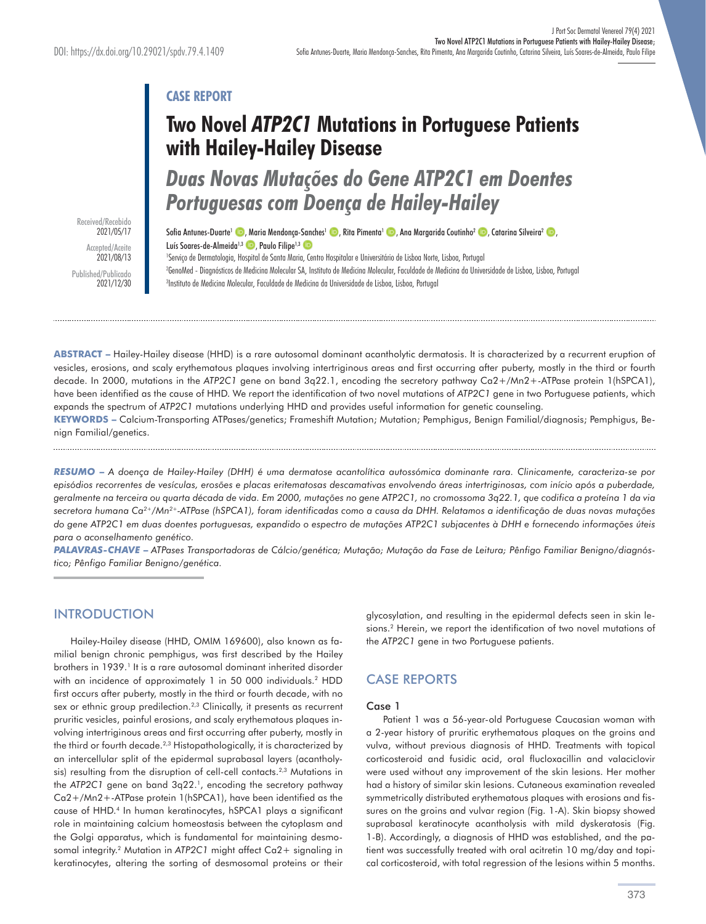# **CASE REPORT**

# **Two Novel** *ATP2C1* **Mutations in Portuguese Patients with Hailey-Hailey Disease**

*Duas Novas Mutações do Gene ATP2C1 em Doentes Portuguesas com Doença de Hailey-Hailey* 

Sofia Antunes-Duarte<sup>1</sup> (D. Maria Mendonça-Sanches<sup>1</sup> (D. Rita Pimenta<sup>1</sup> C. Ana Margarida Coutinho<sup>2</sup> (D. Catarina Silveira<sup>2</sup> ) Luís Soares-de-Almeida<sup>1,3</sup> . Paulo Filipe<sup>1,3</sup>

1 Serviço de Dermatologia, Hospital de Santa Maria, Centro Hospitalar e Universitário de Lisboa Norte, Lisboa, Portugal 2 GenoMed - Diagnósticos de Medicina Molecular SA, Instituto de Medicina Molecular, Faculdade de Medicina da Universidade de Lisboa, Lisboa, Portugal 3 Instituto de Medicina Molecular, Faculdade de Medicina da Universidade de Lisboa, Lisboa, Portugal

**ABSTRACT –** Hailey-Hailey disease (HHD) is a rare autosomal dominant acantholytic dermatosis. It is characterized by a recurrent eruption of vesicles, erosions, and scaly erythematous plaques involving intertriginous areas and first occurring after puberty, mostly in the third or fourth decade. In 2000, mutations in the *ATP2C1* gene on band 3q22.1, encoding the secretory pathway Ca2+/Mn2+-ATPase protein 1(hSPCA1), have been identified as the cause of HHD. We report the identification of two novel mutations of *ATP2C1* gene in two Portuguese patients, which expands the spectrum of *ATP2C1* mutations underlying HHD and provides useful information for genetic counseling.

**KEYWORDS –** Calcium-Transporting ATPases/genetics; Frameshift Mutation; Mutation; Pemphigus, Benign Familial/diagnosis; Pemphigus, Benign Familial/genetics.

*RESUMO* **–** *A doença de Hailey-Hailey (DHH) é uma dermatose acantolítica autossómica dominante rara. Clinicamente, caracteriza-se por episódios recorrentes de vesículas, erosões e placas eritematosas descamativas envolvendo áreas intertriginosas, com início após a puberdade, geralmente na terceira ou quarta década de vida. Em 2000, mutações no gene ATP2C1, no cromossoma 3q22.1, que codifica a proteína 1 da via secretora humana Ca2+/Mn2+-ATPase (hSPCA1), foram identificadas como a causa da DHH. Relatamos a identificação de duas novas mutações do gene ATP2C1 em duas doentes portuguesas, expandido o espectro de mutações ATP2C1 subjacentes à DHH e fornecendo informações úteis para o aconselhamento genético.*

*PALAVRAS-CHAVE* **–** *ATPases Transportadoras de Cálcio/genética; Mutação; Mutação da Fase de Leitura; Pênfigo Familiar Benigno/diagnóstico; Pênfigo Familiar Benigno/genética.*

## INTRODUCTION

Hailey-Hailey disease (HHD, OMIM 169600), also known as familial benign chronic pemphigus, was first described by the Hailey brothers in 1939.<sup>1</sup> It is a rare autosomal dominant inherited disorder with an incidence of approximately 1 in 50 000 individuals.<sup>2</sup> HDD first occurs after puberty, mostly in the third or fourth decade, with no sex or ethnic group predilection.<sup>2,3</sup> Clinically, it presents as recurrent pruritic vesicles, painful erosions, and scaly erythematous plaques involving intertriginous areas and first occurring after puberty, mostly in the third or fourth decade.<sup>2,3</sup> Histopathologically, it is characterized by an intercellular split of the epidermal suprabasal layers (acantholysis) resulting from the disruption of cell-cell contacts.<sup>2,3</sup> Mutations in the *ATP2C1* gene on band 3q22.1, encoding the secretory pathway Ca2+/Mn2+-ATPase protein 1(hSPCA1), have been identified as the cause of HHD.4 In human keratinocytes, hSPCA1 plays a significant role in maintaining calcium homeostasis between the cytoplasm and the Golgi apparatus, which is fundamental for maintaining desmosomal integrity.<sup>2</sup> Mutation in *ATP2C1* might affect Ca2+ signaling in keratinocytes, altering the sorting of desmosomal proteins or their

glycosylation, and resulting in the epidermal defects seen in skin lesions.2 Herein, we report the identification of two novel mutations of the *ATP2C1* gene in two Portuguese patients.

# CASE REPORTS

#### Case 1

Patient 1 was a 56-year-old Portuguese Caucasian woman with a 2-year history of pruritic erythematous plaques on the groins and vulva, without previous diagnosis of HHD. Treatments with topical corticosteroid and fusidic acid, oral flucloxacillin and valaciclovir were used without any improvement of the skin lesions. Her mother had a history of similar skin lesions. Cutaneous examination revealed symmetrically distributed erythematous plaques with erosions and fissures on the groins and vulvar region (Fig. 1-A). Skin biopsy showed suprabasal keratinocyte acantholysis with mild dyskeratosis (Fig. 1-B). Accordingly, a diagnosis of HHD was established, and the patient was successfully treated with oral acitretin 10 mg/day and topical corticosteroid, with total regression of the lesions within 5 months.

Received/Recebido 2021/05/17 Accepted/Aceite 2021/08/13 Published/Publicado 2021/12/30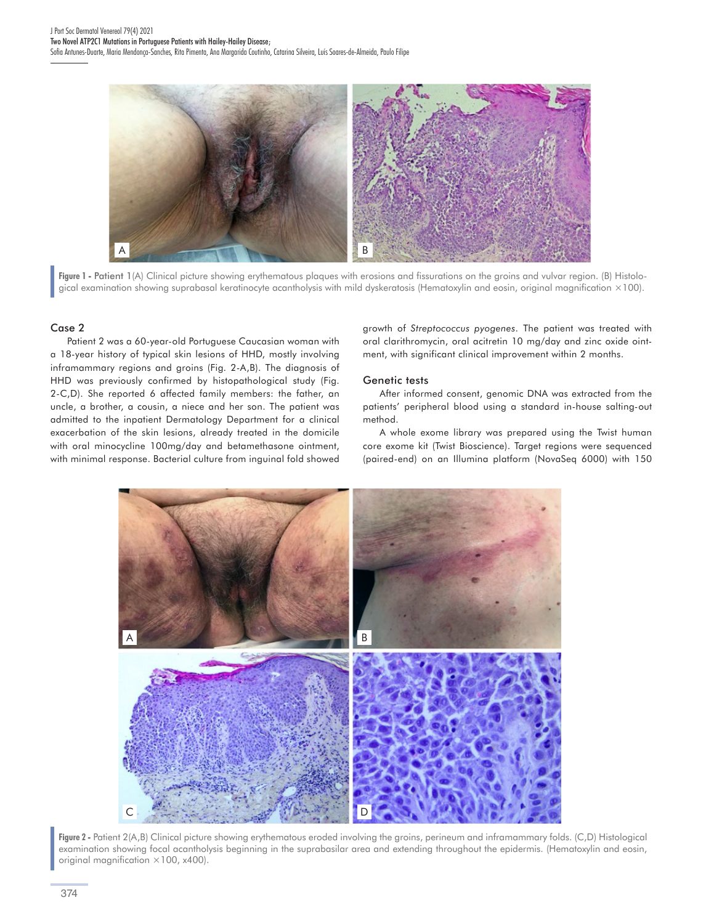

**Figure 1 -** Patient 1(A) Clinical picture showing erythematous plaques with erosions and fissurations on the groins and vulvar region. (B) Histological examination showing suprabasal keratinocyte acantholysis with mild dyskeratosis (Hematoxylin and eosin, original magnification ×100).

#### Case 2

Patient 2 was a 60-year-old Portuguese Caucasian woman with a 18-year history of typical skin lesions of HHD, mostly involving inframammary regions and groins (Fig. 2-A,B). The diagnosis of HHD was previously confirmed by histopathological study (Fig. 2-C,D). She reported 6 affected family members: the father, an uncle, a brother, a cousin, a niece and her son. The patient was admitted to the inpatient Dermatology Department for a clinical exacerbation of the skin lesions, already treated in the domicile with oral minocycline 100mg/day and betamethasone ointment, with minimal response. Bacterial culture from inguinal fold showed growth of *Streptococcus pyogenes*. The patient was treated with oral clarithromycin, oral acitretin 10 mg/day and zinc oxide ointment, with significant clinical improvement within 2 months.

#### Genetic tests

After informed consent, genomic DNA was extracted from the patients' peripheral blood using a standard in-house salting-out method.

A whole exome library was prepared using the Twist human core exome kit (Twist Bioscience). Target regions were sequenced (paired-end) on an Illumina platform (NovaSeq 6000) with 150



**Figure 2 -** Patient 2(A,B) Clinical picture showing erythematous eroded involving the groins, perineum and inframammary folds. (C,D) Histological examination showing focal acantholysis beginning in the suprabasilar area and extending throughout the epidermis. (Hematoxylin and eosin, original magnification  $\times$ 100, x400).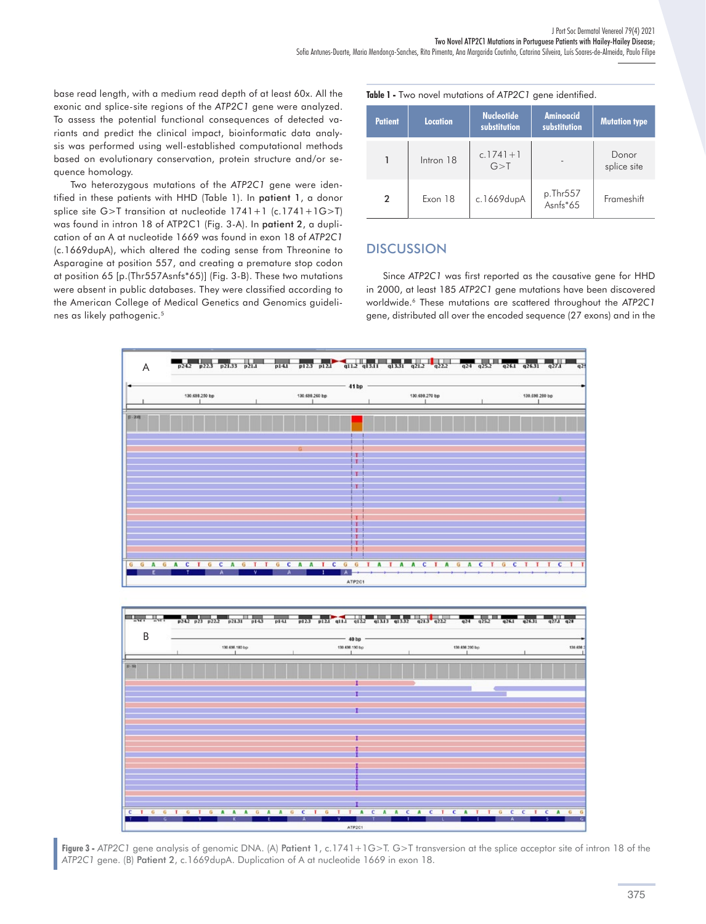base read length, with a medium read depth of at least 60x. All the exonic and splice-site regions of the *ATP2C1* gene were analyzed. To assess the potential functional consequences of detected variants and predict the clinical impact, bioinformatic data analysis was performed using well-established computational methods based on evolutionary conservation, protein structure and/or sequence homology.

Two heterozygous mutations of the *ATP2C1* gene were identified in these patients with HHD (Table 1). In patient 1, a donor splice site G>T transition at nucleotide 1741+1 (c.1741+1G>T) was found in intron 18 of ATP2C1 (Fig. 3-A). In patient 2, a duplication of an A at nucleotide 1669 was found in exon 18 of *ATP2C1* (c.1669dupA), which altered the coding sense from Threonine to Asparagine at position 557, and creating a premature stop codon at position 65 [p.(Thr557Asnfs\*65)] (Fig. 3-B). These two mutations were absent in public databases. They were classified according to the American College of Medical Genetics and Genomics guidelines as likely pathogenic.5

**Table 1 -** Two novel mutations of *ATP2C1* gene identified.

| <b>Patient</b> | <b>Location</b> | <b>Nucleotide</b><br>substitution | <b>Aminoacid</b><br>substitution | <b>Mutation type</b> |
|----------------|-----------------|-----------------------------------|----------------------------------|----------------------|
|                | Intron 18       | $c.1741 + 1$<br>G > T             |                                  | Donor<br>splice site |
| 2              | Exon 18         | c.1669dupA                        | p.Thr557<br>Asnfs*65             | Frameshift           |

### **DISCUSSION**

Since *ATP2C1* was first reported as the causative gene for HHD in 2000, at least 185 *ATP2C1* gene mutations have been discovered worldwide.6 These mutations are scattered throughout the *ATP2C1* gene, distributed all over the encoded sequence (27 exons) and in the



**Figure 3 -** *ATP2C1* gene analysis of genomic DNA. (A) Patient 1, c.1741+1G>T. G>T transversion at the splice acceptor site of intron 18 of the *ATP2C1* gene. (B) Patient 2, c.1669dupA. Duplication of A at nucleotide 1669 in exon 18.